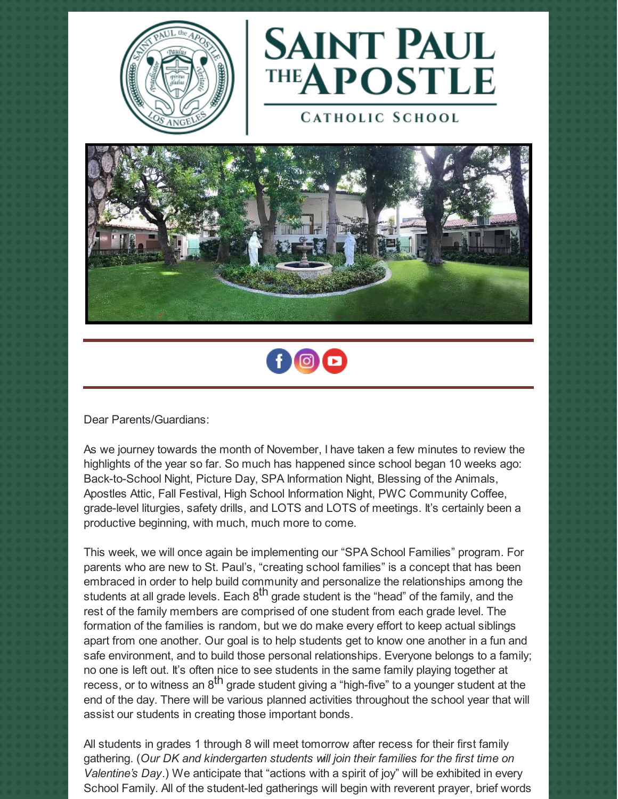



**CATHOLIC SCHOOL** 





Dear Parents/Guardians:

As we journey towards the month of November, I have taken a few minutes to review the highlights of the year so far. So much has happened since school began 10 weeks ago: Back-to-School Night, Picture Day, SPA Information Night, Blessing of the Animals, Apostles Attic, Fall Festival, High School Information Night, PWC Community Coffee, grade-level liturgies, safety drills, and LOTS and LOTS of meetings. It's certainly been a productive beginning, with much, much more to come.

This week, we will once again be implementing our "SPA School Families" program. For parents who are new to St. Paul's, "creating school families" is a concept that has been embraced in order to help build community and personalize the relationships among the students at all grade levels. Each  $8^{\text{th}}$  grade student is the "head" of the family, and the rest of the family members are comprised of one student from each grade level. The formation of the families is random, but we do make every effort to keep actual siblings apart from one another. Our goal is to help students get to know one another in a fun and safe environment, and to build those personal relationships. Everyone belongs to a family; no one is left out. It's often nice to see students in the same family playing together at recess, or to witness an 8<sup>th</sup> grade student giving a "high-five" to a younger student at the end of the day. There will be various planned activities throughout the school year that will assist our students in creating those important bonds.

All students in grades 1 through 8 will meet tomorrow after recess for their first family gathering. (*Our DK and kindergarten students will join their families for the first time on Valentine's Day*.) We anticipate that "actions with a spirit of joy" will be exhibited in every School Family. All of the student-led gatherings will begin with reverent prayer, brief words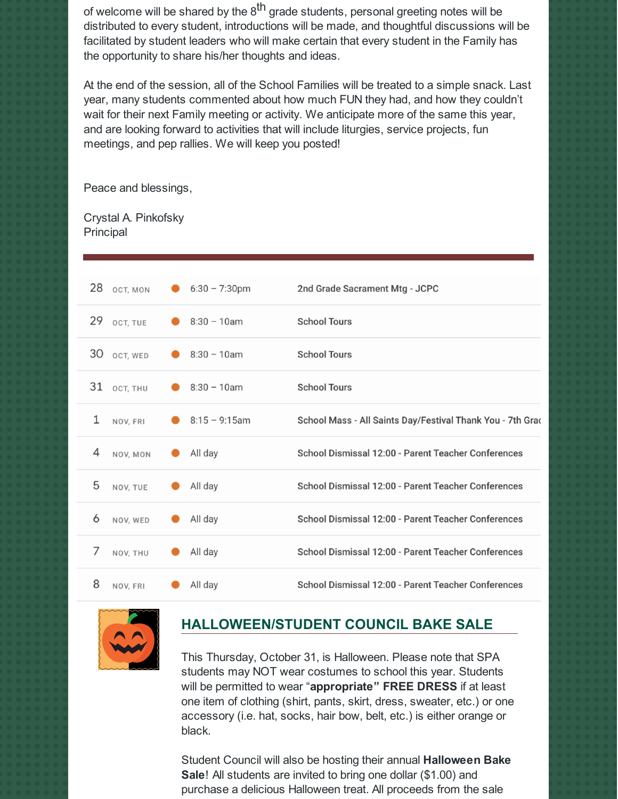of welcome will be shared by the 8<sup>th</sup> grade students, personal greeting notes will be distributed to every student, introductions will be made, and thoughtful discussions will be facilitated by student leaders who will make certain that every student in the Family has the opportunity to share his/her thoughts and ideas.

At the end of the session, all of the School Families will be treated to a simple snack. Last year, many students commented about how much FUN they had, and how they couldn't wait for their next Family meeting or activity. We anticipate more of the same this year, and are looking forward to activities that will include liturgies, service projects, fun meetings, and pep rallies. We will keep you posted!

Peace and blessings,

Crystal A. Pinkofsky Principal

|    | 28 OCT, MON | $6:30 - 7:30$ pm | 2nd Grade Sacrament Mtg - JCPC                            |
|----|-------------|------------------|-----------------------------------------------------------|
| 29 | OCT, TUE    | $8:30 - 10am$    | <b>School Tours</b>                                       |
| 30 | OCT, WED    | $8:30 - 10$ am   | <b>School Tours</b>                                       |
| 31 | OCT, THU    | $8:30 - 10$ am   | <b>School Tours</b>                                       |
| 1  | NOV, FRI    | $8:15 - 9:15$ am | School Mass - All Saints Day/Festival Thank You - 7th Gra |
| 4  | NOV, MON    | All day          | School Dismissal 12:00 - Parent Teacher Conferences       |
| 5  | NOV. TUE    | All day          | School Dismissal 12:00 - Parent Teacher Conferences       |
| 6  | NOV. WED    | All day          | School Dismissal 12:00 - Parent Teacher Conferences       |
| 7  | NOV, THU    | All day          | School Dismissal 12:00 - Parent Teacher Conferences       |
| 8  | NOV, FRI    | All day          | School Dismissal 12:00 - Parent Teacher Conferences       |



## **HALLOWEEN/STUDENT COUNCIL BAKE SALE**

This Thursday, October 31, is Halloween. Please note that SPA students may NOT wear costumes to school this year. Students will be permitted to wear "**appropriate" FREE DRESS** if at least one item of clothing (shirt, pants, skirt, dress, sweater, etc.) or one accessory (i.e. hat, socks, hair bow, belt, etc.) is either orange or black.

Student Council will also be hosting their annual **Halloween Bake Sale**! All students are invited to bring one dollar (\$1.00) and purchase a delicious Halloween treat. All proceeds from the sale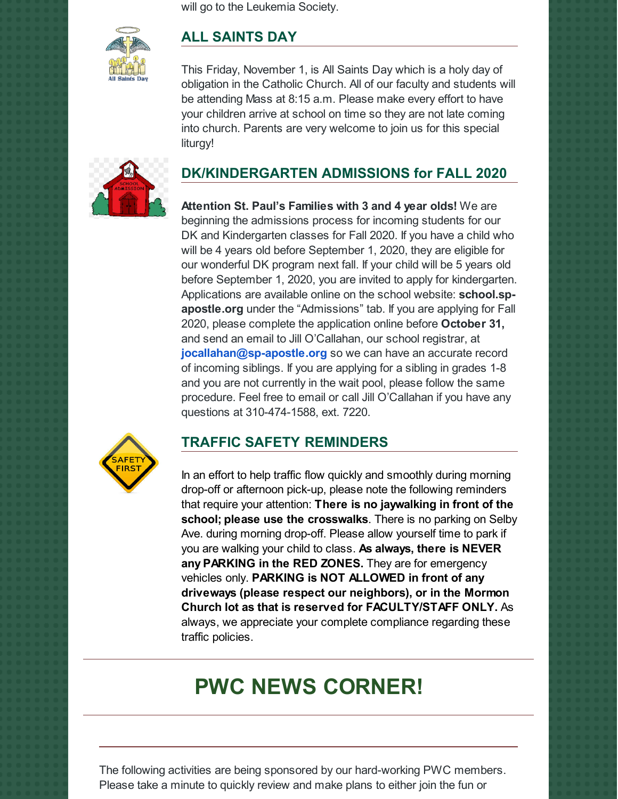will go to the Leukemia Society.



### **ALL SAINTS DAY**

This Friday, November 1, is All Saints Day which is a holy day of obligation in the Catholic Church. All of our faculty and students will be attending Mass at 8:15 a.m. Please make every effort to have your children arrive at school on time so they are not late coming into church. Parents are very welcome to join us for this special liturgy!



# **DK/KINDERGARTEN ADMISSIONS for FALL 2020**

**Attention St. Paul's Families with 3 and 4 year olds!** We are beginning the admissions process for incoming students for our DK and Kindergarten classes for Fall 2020. If you have a child who will be 4 years old before September 1, 2020, they are eligible for our wonderful DK program next fall. If your child will be 5 years old before September 1, 2020, you are invited to apply for kindergarten. Applications are available online on the school website: **school.spapostle.org** under the "Admissions" tab. If you are applying for Fall 2020, please complete the application online before **October 31,** and send an email to Jill O'Callahan, our school registrar, at **[jocallahan@sp-apostle.org](mailto:jocallahan@sp-apostle.org)** so we can have an accurate record of incoming siblings. If you are applying for a sibling in grades 1-8 and you are not currently in the wait pool, please follow the same procedure. Feel free to email or call Jill O'Callahan if you have any questions at 310-474-1588, ext. 7220.



#### **TRAFFIC SAFETY REMINDERS**

In an effort to help traffic flow quickly and smoothly during morning drop-off or afternoon pick-up, please note the following reminders that require your attention: **There is no jaywalking in front of the school; please use the crosswalks**. There is no parking on Selby Ave. during morning drop-off. Please allow yourself time to park if you are walking your child to class. **As always, there is NEVER any PARKING in the RED ZONES.** They are for emergency vehicles only. **PARKING is NOT ALLOWED in front of any driveways (please respect our neighbors), or in the Mormon Church lot as that is reserved for FACULTY/STAFF ONLY.** As always, we appreciate your complete compliance regarding these traffic policies.

# **PWC NEWS CORNER!**

The following activities are being sponsored by our hard-working PWC members. Please take a minute to quickly review and make plans to either join the fun or